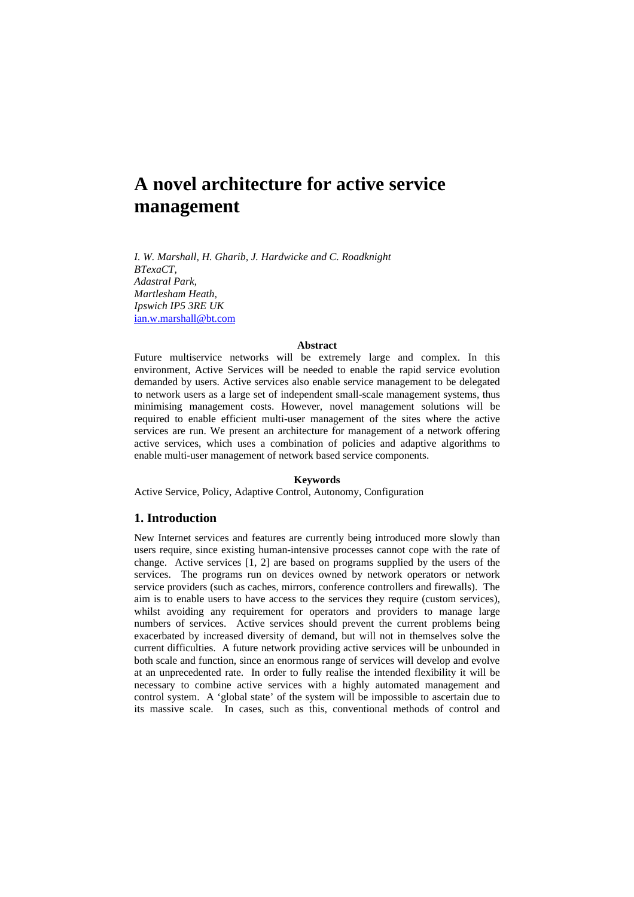# **A novel architecture for active service management**

*I. W. Marshall, H. Gharib, J. Hardwicke and C. Roadknight BTexaCT, Adastral Park, Martlesham Heath, Ipswich IP5 3RE UK* ian.w.marshall@bt.com

#### **Abstract**

Future multiservice networks will be extremely large and complex. In this environment, Active Services will be needed to enable the rapid service evolution demanded by users. Active services also enable service management to be delegated to network users as a large set of independent small-scale management systems, thus minimising management costs. However, novel management solutions will be required to enable efficient multi-user management of the sites where the active services are run. We present an architecture for management of a network offering active services, which uses a combination of policies and adaptive algorithms to enable multi-user management of network based service components.

#### **Keywords**

Active Service, Policy, Adaptive Control, Autonomy, Configuration

#### **1. Introduction**

New Internet services and features are currently being introduced more slowly than users require, since existing human-intensive processes cannot cope with the rate of change. Active services [1, 2] are based on programs supplied by the users of the services. The programs run on devices owned by network operators or network service providers (such as caches, mirrors, conference controllers and firewalls). The aim is to enable users to have access to the services they require (custom services), whilst avoiding any requirement for operators and providers to manage large numbers of services. Active services should prevent the current problems being exacerbated by increased diversity of demand, but will not in themselves solve the current difficulties. A future network providing active services will be unbounded in both scale and function, since an enormous range of services will develop and evolve at an unprecedented rate. In order to fully realise the intended flexibility it will be necessary to combine active services with a highly automated management and control system. A 'global state' of the system will be impossible to ascertain due to its massive scale. In cases, such as this, conventional methods of control and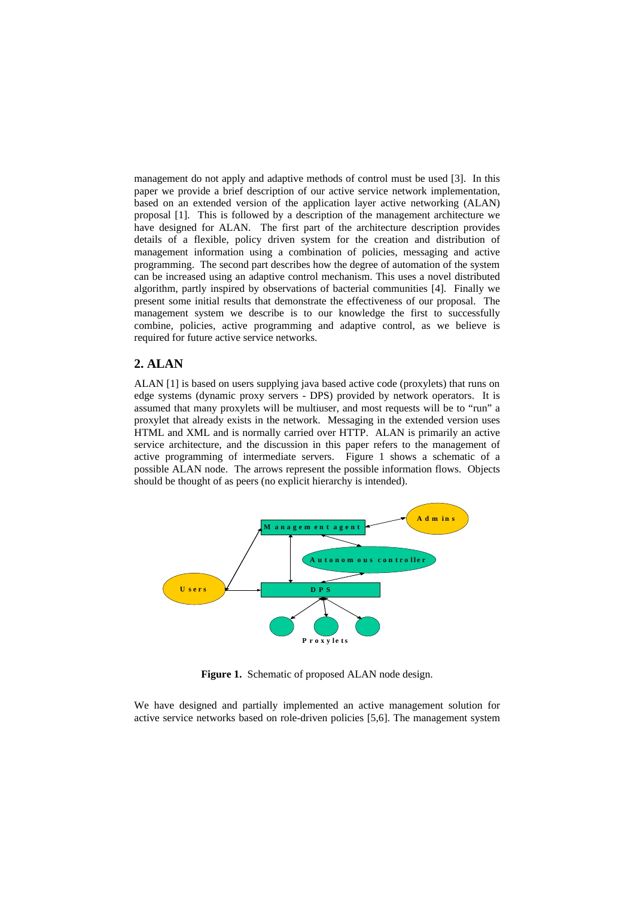management do not apply and adaptive methods of control must be used [3]. In this paper we provide a brief description of our active service network implementation, based on an extended version of the application layer active networking (ALAN) proposal [1]. This is followed by a description of the management architecture we have designed for ALAN. The first part of the architecture description provides details of a flexible, policy driven system for the creation and distribution of management information using a combination of policies, messaging and active programming. The second part describes how the degree of automation of the system can be increased using an adaptive control mechanism. This uses a novel distributed algorithm, partly inspired by observations of bacterial communities [4]. Finally we present some initial results that demonstrate the effectiveness of our proposal. The management system we describe is to our knowledge the first to successfully combine, policies, active programming and adaptive control, as we believe is required for future active service networks.

#### **2. ALAN**

ALAN [1] is based on users supplying java based active code (proxylets) that runs on edge systems (dynamic proxy servers - DPS) provided by network operators. It is assumed that many proxylets will be multiuser, and most requests will be to "run" a proxylet that already exists in the network. Messaging in the extended version uses HTML and XML and is normally carried over HTTP. ALAN is primarily an active service architecture, and the discussion in this paper refers to the management of active programming of intermediate servers. Figure 1 shows a schematic of a possible ALAN node. The arrows represent the possible information flows. Objects should be thought of as peers (no explicit hierarchy is intended).



**Figure 1.** Schematic of proposed ALAN node design.

We have designed and partially implemented an active management solution for active service networks based on role-driven policies [5,6]. The management system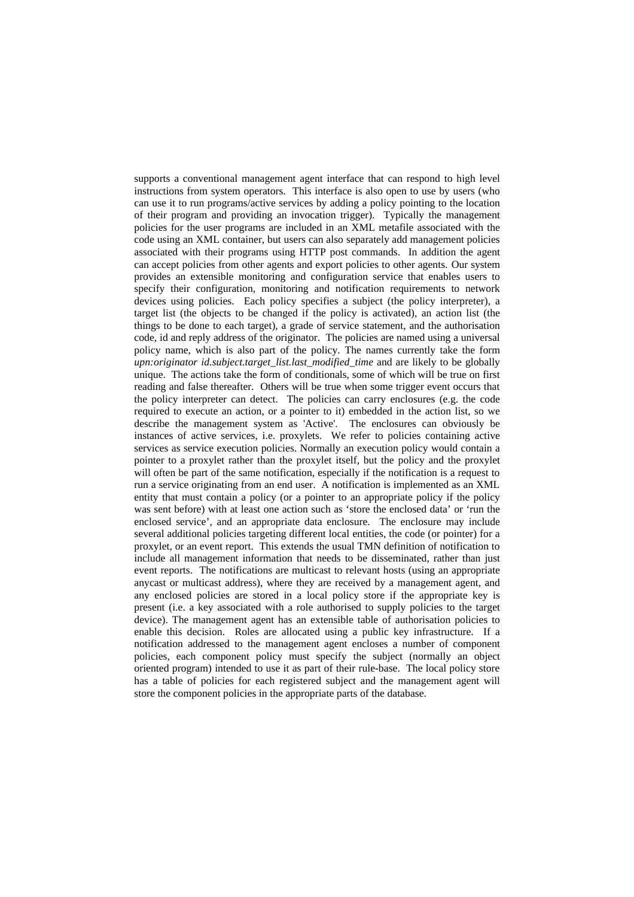supports a conventional management agent interface that can respond to high level instructions from system operators. This interface is also open to use by users (who can use it to run programs/active services by adding a policy pointing to the location of their program and providing an invocation trigger). Typically the management policies for the user programs are included in an XML metafile associated with the code using an XML container, but users can also separately add management policies associated with their programs using HTTP post commands. In addition the agent can accept policies from other agents and export policies to other agents. Our system provides an extensible monitoring and configuration service that enables users to specify their configuration, monitoring and notification requirements to network devices using policies. Each policy specifies a subject (the policy interpreter), a target list (the objects to be changed if the policy is activated), an action list (the things to be done to each target), a grade of service statement, and the authorisation code, id and reply address of the originator. The policies are named using a universal policy name, which is also part of the policy. The names currently take the form *upn:originator id.subject.target\_list.last\_modified\_time* and are likely to be globally unique. The actions take the form of conditionals, some of which will be true on first reading and false thereafter. Others will be true when some trigger event occurs that the policy interpreter can detect. The policies can carry enclosures (e.g. the code required to execute an action, or a pointer to it) embedded in the action list, so we describe the management system as 'Active'. The enclosures can obviously be instances of active services, i.e. proxylets. We refer to policies containing active services as service execution policies. Normally an execution policy would contain a pointer to a proxylet rather than the proxylet itself, but the policy and the proxylet will often be part of the same notification, especially if the notification is a request to run a service originating from an end user. A notification is implemented as an XML entity that must contain a policy (or a pointer to an appropriate policy if the policy was sent before) with at least one action such as 'store the enclosed data' or 'run the enclosed service', and an appropriate data enclosure. The enclosure may include several additional policies targeting different local entities, the code (or pointer) for a proxylet, or an event report. This extends the usual TMN definition of notification to include all management information that needs to be disseminated, rather than just event reports. The notifications are multicast to relevant hosts (using an appropriate anycast or multicast address), where they are received by a management agent, and any enclosed policies are stored in a local policy store if the appropriate key is present (i.e. a key associated with a role authorised to supply policies to the target device). The management agent has an extensible table of authorisation policies to enable this decision. Roles are allocated using a public key infrastructure. If a notification addressed to the management agent encloses a number of component policies, each component policy must specify the subject (normally an object oriented program) intended to use it as part of their rule-base. The local policy store has a table of policies for each registered subject and the management agent will store the component policies in the appropriate parts of the database.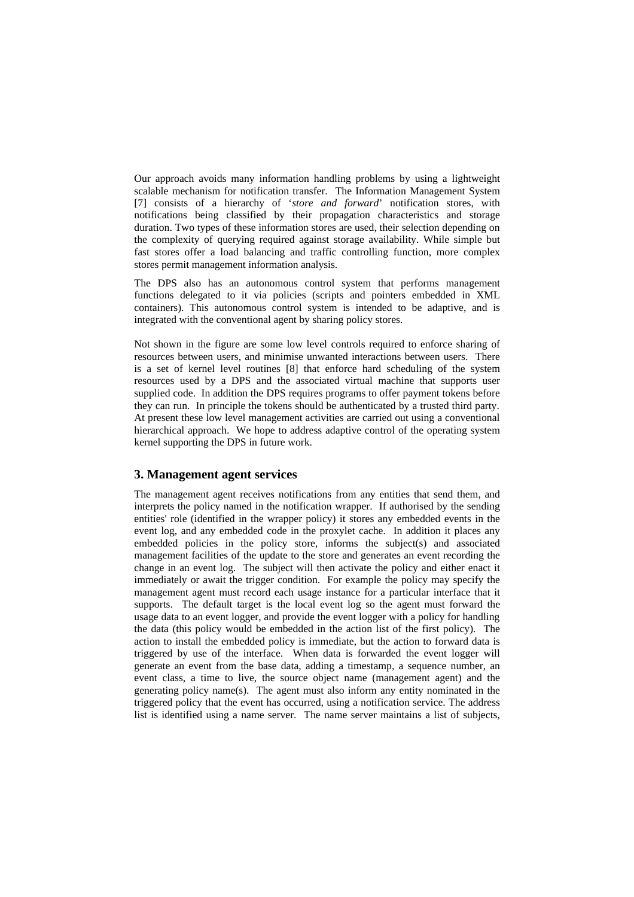Our approach avoids many information handling problems by using a lightweight scalable mechanism for notification transfer. The Information Management System [7] consists of a hierarchy of '*store and forward*' notification stores, with notifications being classified by their propagation characteristics and storage duration. Two types of these information stores are used, their selection depending on the complexity of querying required against storage availability. While simple but fast stores offer a load balancing and traffic controlling function, more complex stores permit management information analysis.

The DPS also has an autonomous control system that performs management functions delegated to it via policies (scripts and pointers embedded in XML containers). This autonomous control system is intended to be adaptive, and is integrated with the conventional agent by sharing policy stores.

Not shown in the figure are some low level controls required to enforce sharing of resources between users, and minimise unwanted interactions between users. There is a set of kernel level routines [8] that enforce hard scheduling of the system resources used by a DPS and the associated virtual machine that supports user supplied code. In addition the DPS requires programs to offer payment tokens before they can run. In principle the tokens should be authenticated by a trusted third party. At present these low level management activities are carried out using a conventional hierarchical approach. We hope to address adaptive control of the operating system kernel supporting the DPS in future work.

# **3. Management agent services**

The management agent receives notifications from any entities that send them, and interprets the policy named in the notification wrapper. If authorised by the sending entities' role (identified in the wrapper policy) it stores any embedded events in the event log, and any embedded code in the proxylet cache. In addition it places any embedded policies in the policy store, informs the subject(s) and associated management facilities of the update to the store and generates an event recording the change in an event log. The subject will then activate the policy and either enact it immediately or await the trigger condition. For example the policy may specify the management agent must record each usage instance for a particular interface that it supports. The default target is the local event log so the agent must forward the usage data to an event logger, and provide the event logger with a policy for handling the data (this policy would be embedded in the action list of the first policy). The action to install the embedded policy is immediate, but the action to forward data is triggered by use of the interface. When data is forwarded the event logger will generate an event from the base data, adding a timestamp, a sequence number, an event class, a time to live, the source object name (management agent) and the generating policy name(s). The agent must also inform any entity nominated in the triggered policy that the event has occurred, using a notification service. The address list is identified using a name server. The name server maintains a list of subjects,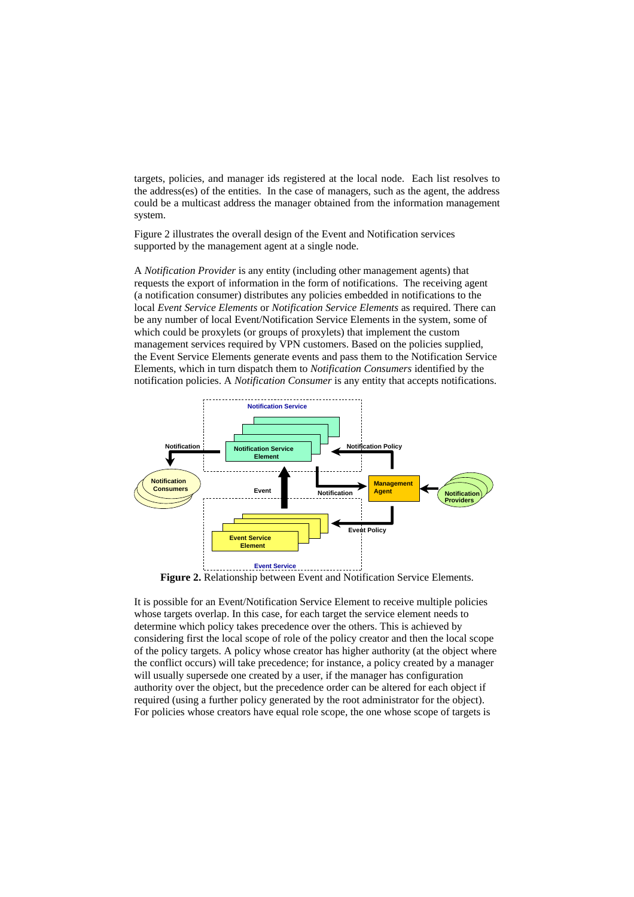targets, policies, and manager ids registered at the local node. Each list resolves to the address(es) of the entities. In the case of managers, such as the agent, the address could be a multicast address the manager obtained from the information management system.

Figure 2 illustrates the overall design of the Event and Notification services supported by the management agent at a single node.

A *Notification Provider* is any entity (including other management agents) that requests the export of information in the form of notifications. The receiving agent (a notification consumer) distributes any policies embedded in notifications to the local *Event Service Elements* or *Notification Service Elements* as required. There can be any number of local Event/Notification Service Elements in the system, some of which could be proxylets (or groups of proxylets) that implement the custom management services required by VPN customers. Based on the policies supplied, the Event Service Elements generate events and pass them to the Notification Service Elements, which in turn dispatch them to *Notification Consumers* identified by the notification policies. A *Notification Consumer* is any entity that accepts notifications.



**Figure 2.** Relationship between Event and Notification Service Elements.

It is possible for an Event/Notification Service Element to receive multiple policies whose targets overlap. In this case, for each target the service element needs to determine which policy takes precedence over the others. This is achieved by considering first the local scope of role of the policy creator and then the local scope of the policy targets. A policy whose creator has higher authority (at the object where the conflict occurs) will take precedence; for instance, a policy created by a manager will usually supersede one created by a user, if the manager has configuration authority over the object, but the precedence order can be altered for each object if required (using a further policy generated by the root administrator for the object). For policies whose creators have equal role scope, the one whose scope of targets is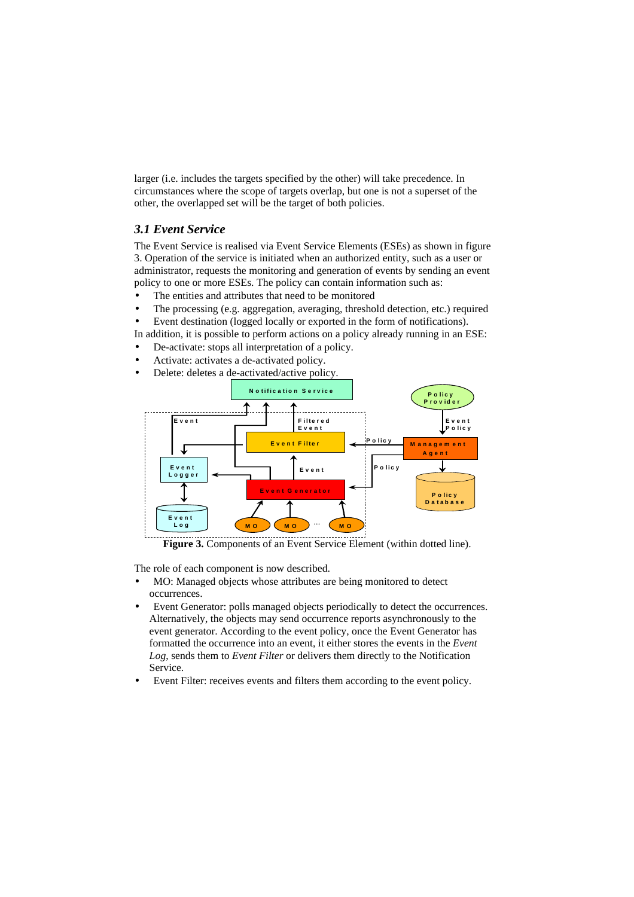larger (i.e. includes the targets specified by the other) will take precedence. In circumstances where the scope of targets overlap, but one is not a superset of the other, the overlapped set will be the target of both policies.

# *3.1 Event Service*

The Event Service is realised via Event Service Elements (ESEs) as shown in figure 3. Operation of the service is initiated when an authorized entity, such as a user or administrator, requests the monitoring and generation of events by sending an event policy to one or more ESEs. The policy can contain information such as:

- The entities and attributes that need to be monitored
- The processing (e.g. aggregation, averaging, threshold detection, etc.) required
- Event destination (logged locally or exported in the form of notifications).

In addition, it is possible to perform actions on a policy already running in an ESE:

- De-activate: stops all interpretation of a policy.
- Activate: activates a de-activated policy.
- Delete: deletes a de-activated/active policy.



**Figure 3.** Components of an Event Service Element (within dotted line).

The role of each component is now described.

- MO: Managed objects whose attributes are being monitored to detect occurrences.
- Event Generator: polls managed objects periodically to detect the occurrences. Alternatively, the objects may send occurrence reports asynchronously to the event generator. According to the event policy, once the Event Generator has formatted the occurrence into an event, it either stores the events in the *Event Log*, sends them to *Event Filter* or delivers them directly to the Notification Service.
- Event Filter: receives events and filters them according to the event policy.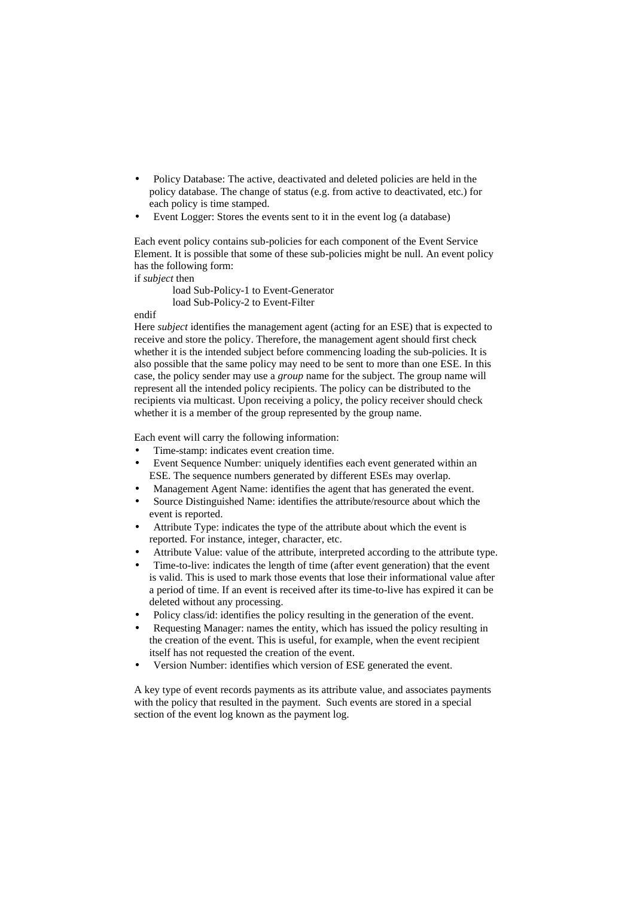- Policy Database: The active, deactivated and deleted policies are held in the policy database. The change of status (e.g. from active to deactivated, etc.) for each policy is time stamped.
- Event Logger: Stores the events sent to it in the event log (a database)

Each event policy contains sub-policies for each component of the Event Service Element. It is possible that some of these sub-policies might be null. An event policy has the following form:

if *subject* then load Sub-Policy-1 to Event-Generator load Sub-Policy-2 to Event-Filter

#### endif

Here *subject* identifies the management agent (acting for an ESE) that is expected to receive and store the policy. Therefore, the management agent should first check whether it is the intended subject before commencing loading the sub-policies. It is also possible that the same policy may need to be sent to more than one ESE. In this case, the policy sender may use a *group* name for the subject. The group name will represent all the intended policy recipients. The policy can be distributed to the recipients via multicast. Upon receiving a policy, the policy receiver should check whether it is a member of the group represented by the group name.

Each event will carry the following information:

- Time-stamp: indicates event creation time.
- Event Sequence Number: uniquely identifies each event generated within an ESE. The sequence numbers generated by different ESEs may overlap.
- Management Agent Name: identifies the agent that has generated the event.
- Source Distinguished Name: identifies the attribute/resource about which the event is reported.
- Attribute Type: indicates the type of the attribute about which the event is reported. For instance, integer, character, etc.
- Attribute Value: value of the attribute, interpreted according to the attribute type.
- Time-to-live: indicates the length of time (after event generation) that the event is valid. This is used to mark those events that lose their informational value after a period of time. If an event is received after its time-to-live has expired it can be deleted without any processing.
- Policy class/id: identifies the policy resulting in the generation of the event.
- Requesting Manager: names the entity, which has issued the policy resulting in the creation of the event. This is useful, for example, when the event recipient itself has not requested the creation of the event.
- Version Number: identifies which version of ESE generated the event.

A key type of event records payments as its attribute value, and associates payments with the policy that resulted in the payment. Such events are stored in a special section of the event log known as the payment log.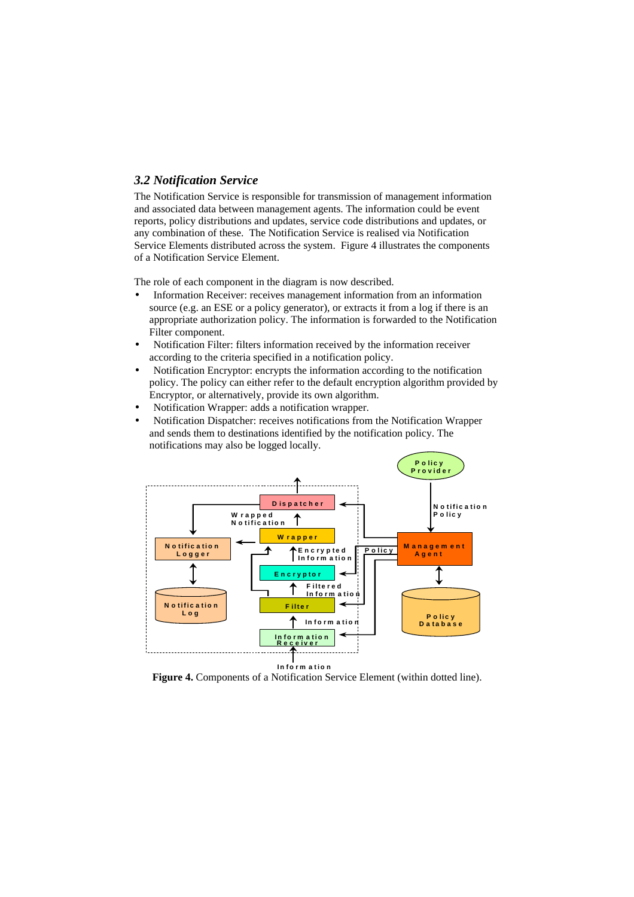# *3.2 Notification Service*

The Notification Service is responsible for transmission of management information and associated data between management agents. The information could be event reports, policy distributions and updates, service code distributions and updates, or any combination of these. The Notification Service is realised via Notification Service Elements distributed across the system. Figure 4 illustrates the components of a Notification Service Element.

The role of each component in the diagram is now described.

- Information Receiver: receives management information from an information source (e.g. an ESE or a policy generator), or extracts it from a log if there is an appropriate authorization policy. The information is forwarded to the Notification Filter component.
- Notification Filter: filters information received by the information receiver according to the criteria specified in a notification policy.
- Notification Encryptor: encrypts the information according to the notification policy. The policy can either refer to the default encryption algorithm provided by Encryptor, or alternatively, provide its own algorithm.
- Notification Wrapper: adds a notification wrapper.
- Notification Dispatcher: receives notifications from the Notification Wrapper and sends them to destinations identified by the notification policy. The notifications may also be logged locally.



**Figure 4.** Components of a Notification Service Element (within dotted line).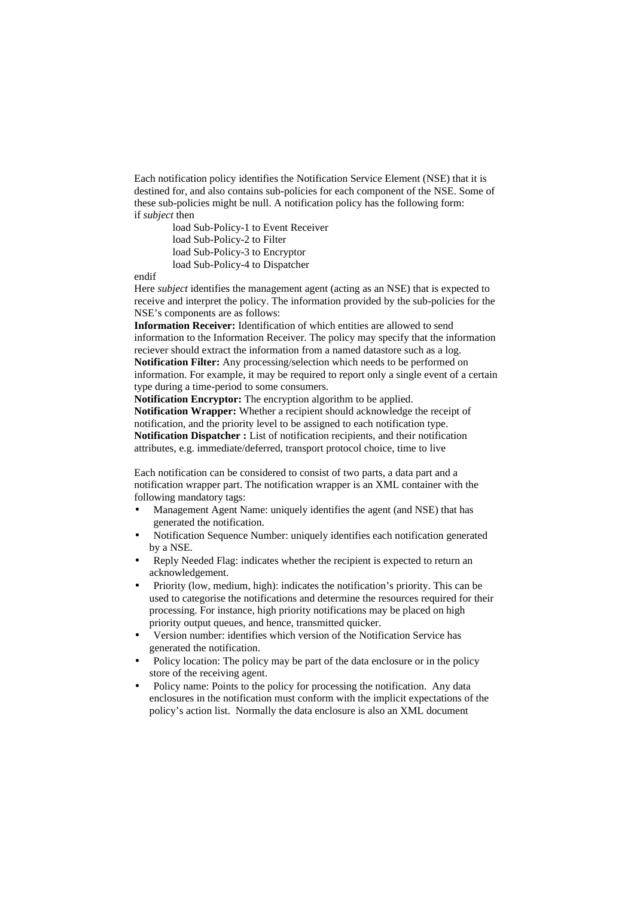Each notification policy identifies the Notification Service Element (NSE) that it is destined for, and also contains sub-policies for each component of the NSE. Some of these sub-policies might be null. A notification policy has the following form: if *subject* then

> load Sub-Policy-1 to Event Receiver load Sub-Policy-2 to Filter load Sub-Policy-3 to Encryptor load Sub-Policy-4 to Dispatcher

endif

Here *subject* identifies the management agent (acting as an NSE) that is expected to receive and interpret the policy. The information provided by the sub-policies for the NSE's components are as follows:

**Information Receiver:** Identification of which entities are allowed to send information to the Information Receiver. The policy may specify that the information reciever should extract the information from a named datastore such as a log. **Notification Filter:** Any processing/selection which needs to be performed on information. For example, it may be required to report only a single event of a certain type during a time-period to some consumers.

**Notification Encryptor:** The encryption algorithm to be applied. **Notification Wrapper:** Whether a recipient should acknowledge the receipt of notification, and the priority level to be assigned to each notification type. **Notification Dispatcher :** List of notification recipients, and their notification attributes, e.g. immediate/deferred, transport protocol choice, time to live

Each notification can be considered to consist of two parts, a data part and a notification wrapper part. The notification wrapper is an XML container with the following mandatory tags:

- Management Agent Name: uniquely identifies the agent (and NSE) that has generated the notification.
- Notification Sequence Number: uniquely identifies each notification generated by a NSE.
- Reply Needed Flag: indicates whether the recipient is expected to return an acknowledgement.
- Priority (low, medium, high): indicates the notification's priority. This can be used to categorise the notifications and determine the resources required for their processing. For instance, high priority notifications may be placed on high priority output queues, and hence, transmitted quicker.
- Version number: identifies which version of the Notification Service has generated the notification.
- Policy location: The policy may be part of the data enclosure or in the policy store of the receiving agent.
- Policy name: Points to the policy for processing the notification. Any data enclosures in the notification must conform with the implicit expectations of the policy's action list. Normally the data enclosure is also an XML document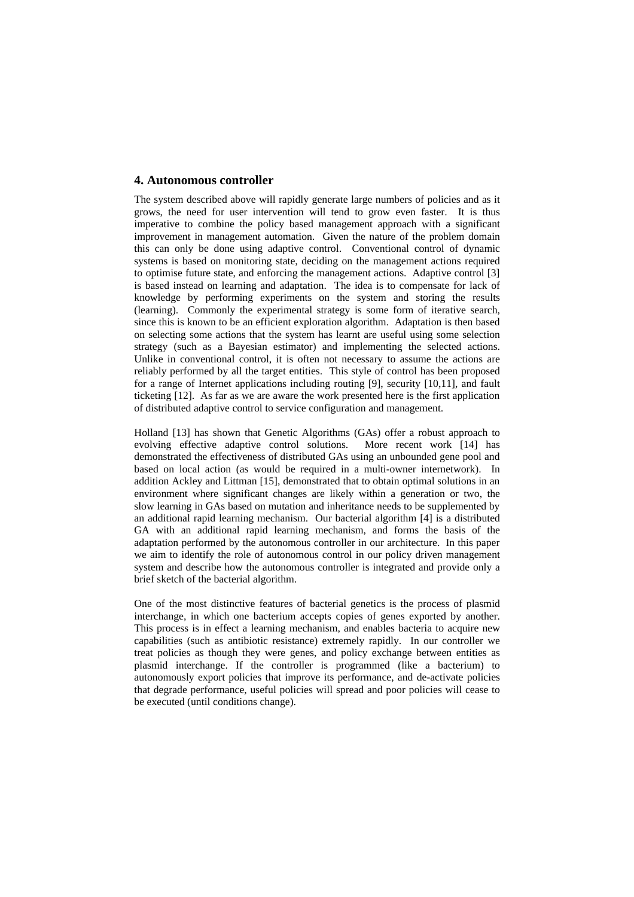# **4. Autonomous controller**

The system described above will rapidly generate large numbers of policies and as it grows, the need for user intervention will tend to grow even faster. It is thus imperative to combine the policy based management approach with a significant improvement in management automation. Given the nature of the problem domain this can only be done using adaptive control. Conventional control of dynamic systems is based on monitoring state, deciding on the management actions required to optimise future state, and enforcing the management actions. Adaptive control [3] is based instead on learning and adaptation. The idea is to compensate for lack of knowledge by performing experiments on the system and storing the results (learning). Commonly the experimental strategy is some form of iterative search, since this is known to be an efficient exploration algorithm. Adaptation is then based on selecting some actions that the system has learnt are useful using some selection strategy (such as a Bayesian estimator) and implementing the selected actions. Unlike in conventional control, it is often not necessary to assume the actions are reliably performed by all the target entities. This style of control has been proposed for a range of Internet applications including routing [9], security [10,11], and fault ticketing [12]. As far as we are aware the work presented here is the first application of distributed adaptive control to service configuration and management.

Holland [13] has shown that Genetic Algorithms (GAs) offer a robust approach to evolving effective adaptive control solutions. More recent work [14] has demonstrated the effectiveness of distributed GAs using an unbounded gene pool and based on local action (as would be required in a multi-owner internetwork). In addition Ackley and Littman [15], demonstrated that to obtain optimal solutions in an environment where significant changes are likely within a generation or two, the slow learning in GAs based on mutation and inheritance needs to be supplemented by an additional rapid learning mechanism. Our bacterial algorithm [4] is a distributed GA with an additional rapid learning mechanism, and forms the basis of the adaptation performed by the autonomous controller in our architecture. In this paper we aim to identify the role of autonomous control in our policy driven management system and describe how the autonomous controller is integrated and provide only a brief sketch of the bacterial algorithm.

One of the most distinctive features of bacterial genetics is the process of plasmid interchange, in which one bacterium accepts copies of genes exported by another. This process is in effect a learning mechanism, and enables bacteria to acquire new capabilities (such as antibiotic resistance) extremely rapidly. In our controller we treat policies as though they were genes, and policy exchange between entities as plasmid interchange. If the controller is programmed (like a bacterium) to autonomously export policies that improve its performance, and de-activate policies that degrade performance, useful policies will spread and poor policies will cease to be executed (until conditions change).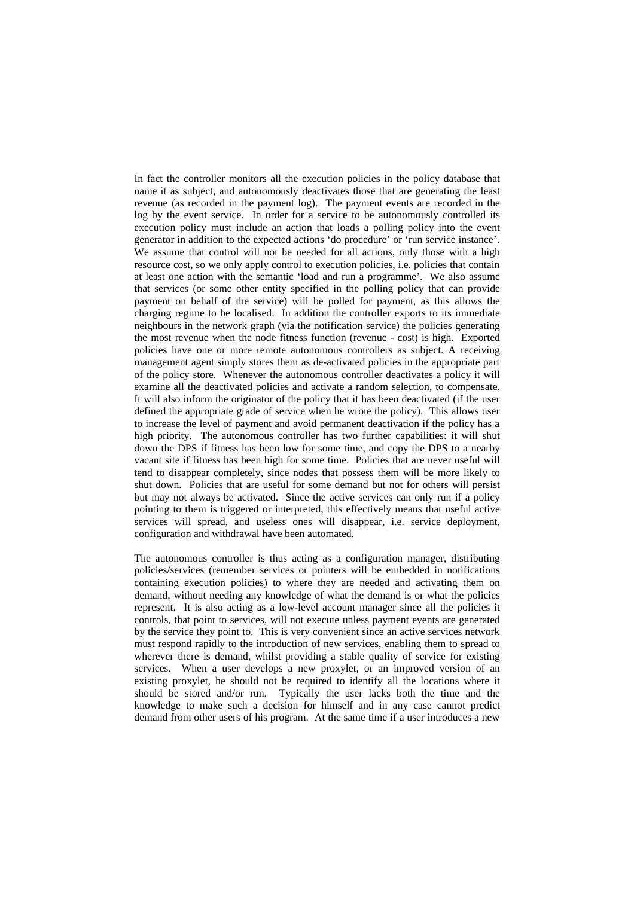In fact the controller monitors all the execution policies in the policy database that name it as subject, and autonomously deactivates those that are generating the least revenue (as recorded in the payment log). The payment events are recorded in the log by the event service. In order for a service to be autonomously controlled its execution policy must include an action that loads a polling policy into the event generator in addition to the expected actions 'do procedure' or 'run service instance'. We assume that control will not be needed for all actions, only those with a high resource cost, so we only apply control to execution policies, i.e. policies that contain at least one action with the semantic 'load and run a programme'. We also assume that services (or some other entity specified in the polling policy that can provide payment on behalf of the service) will be polled for payment, as this allows the charging regime to be localised. In addition the controller exports to its immediate neighbours in the network graph (via the notification service) the policies generating the most revenue when the node fitness function (revenue - cost) is high. Exported policies have one or more remote autonomous controllers as subject. A receiving management agent simply stores them as de-activated policies in the appropriate part of the policy store. Whenever the autonomous controller deactivates a policy it will examine all the deactivated policies and activate a random selection, to compensate. It will also inform the originator of the policy that it has been deactivated (if the user defined the appropriate grade of service when he wrote the policy). This allows user to increase the level of payment and avoid permanent deactivation if the policy has a high priority. The autonomous controller has two further capabilities: it will shut down the DPS if fitness has been low for some time, and copy the DPS to a nearby vacant site if fitness has been high for some time. Policies that are never useful will tend to disappear completely, since nodes that possess them will be more likely to shut down. Policies that are useful for some demand but not for others will persist but may not always be activated. Since the active services can only run if a policy pointing to them is triggered or interpreted, this effectively means that useful active services will spread, and useless ones will disappear, i.e. service deployment, configuration and withdrawal have been automated.

The autonomous controller is thus acting as a configuration manager, distributing policies/services (remember services or pointers will be embedded in notifications containing execution policies) to where they are needed and activating them on demand, without needing any knowledge of what the demand is or what the policies represent. It is also acting as a low-level account manager since all the policies it controls, that point to services, will not execute unless payment events are generated by the service they point to. This is very convenient since an active services network must respond rapidly to the introduction of new services, enabling them to spread to wherever there is demand, whilst providing a stable quality of service for existing services. When a user develops a new proxylet, or an improved version of an existing proxylet, he should not be required to identify all the locations where it should be stored and/or run. Typically the user lacks both the time and the knowledge to make such a decision for himself and in any case cannot predict demand from other users of his program. At the same time if a user introduces a new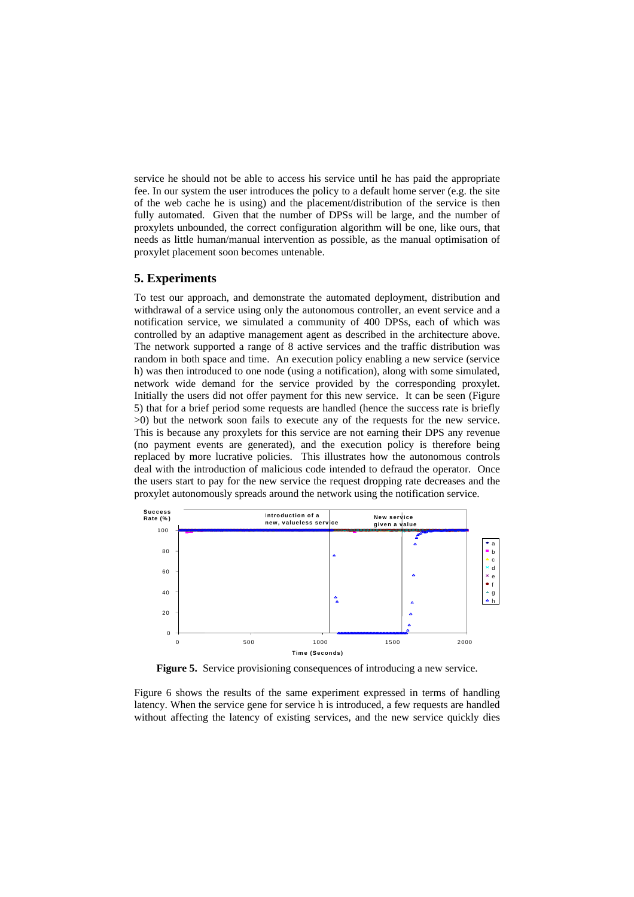service he should not be able to access his service until he has paid the appropriate fee. In our system the user introduces the policy to a default home server (e.g. the site of the web cache he is using) and the placement/distribution of the service is then fully automated. Given that the number of DPSs will be large, and the number of proxylets unbounded, the correct configuration algorithm will be one, like ours, that needs as little human/manual intervention as possible, as the manual optimisation of proxylet placement soon becomes untenable.

#### **5. Experiments**

To test our approach, and demonstrate the automated deployment, distribution and withdrawal of a service using only the autonomous controller, an event service and a notification service, we simulated a community of 400 DPSs, each of which was controlled by an adaptive management agent as described in the architecture above. The network supported a range of 8 active services and the traffic distribution was random in both space and time. An execution policy enabling a new service (service h) was then introduced to one node (using a notification), along with some simulated, network wide demand for the service provided by the corresponding proxylet. Initially the users did not offer payment for this new service. It can be seen (Figure 5) that for a brief period some requests are handled (hence the success rate is briefly >0) but the network soon fails to execute any of the requests for the new service. This is because any proxylets for this service are not earning their DPS any revenue (no payment events are generated), and the execution policy is therefore being replaced by more lucrative policies. This illustrates how the autonomous controls deal with the introduction of malicious code intended to defraud the operator. Once the users start to pay for the new service the request dropping rate decreases and the proxylet autonomously spreads around the network using the notification service.



**Figure 5.** Service provisioning consequences of introducing a new service.

Figure 6 shows the results of the same experiment expressed in terms of handling latency. When the service gene for service h is introduced, a few requests are handled without affecting the latency of existing services, and the new service quickly dies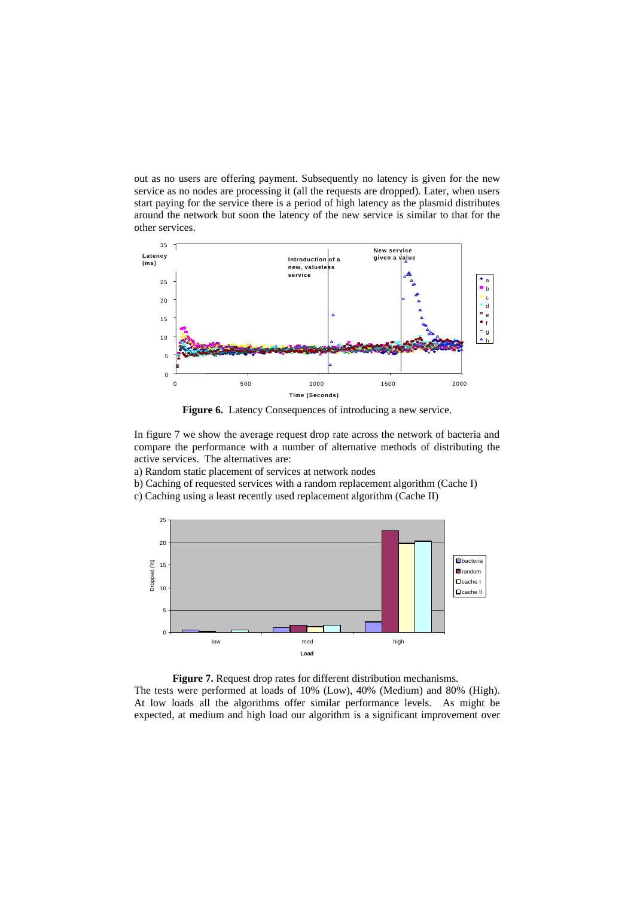out as no users are offering payment. Subsequently no latency is given for the new service as no nodes are processing it (all the requests are dropped). Later, when users start paying for the service there is a period of high latency as the plasmid distributes around the network but soon the latency of the new service is similar to that for the other services.



**Figure 6.** Latency Consequences of introducing a new service.

In figure 7 we show the average request drop rate across the network of bacteria and compare the performance with a number of alternative methods of distributing the active services. The alternatives are:

a) Random static placement of services at network nodes

b) Caching of requested services with a random replacement algorithm (Cache I)

c) Caching using a least recently used replacement algorithm (Cache II)



**Figure 7.** Request drop rates for different distribution mechanisms.

The tests were performed at loads of 10% (Low), 40% (Medium) and 80% (High). At low loads all the algorithms offer similar performance levels. As might be expected, at medium and high load our algorithm is a significant improvement over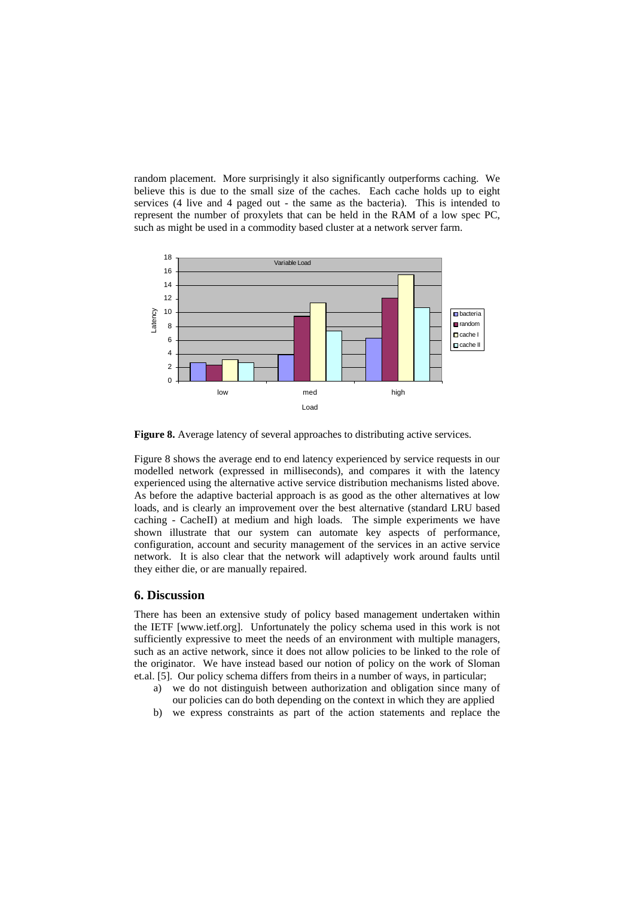random placement. More surprisingly it also significantly outperforms caching. We believe this is due to the small size of the caches. Each cache holds up to eight services (4 live and 4 paged out - the same as the bacteria). This is intended to represent the number of proxylets that can be held in the RAM of a low spec PC, such as might be used in a commodity based cluster at a network server farm.



**Figure 8.** Average latency of several approaches to distributing active services.

Figure 8 shows the average end to end latency experienced by service requests in our modelled network (expressed in milliseconds), and compares it with the latency experienced using the alternative active service distribution mechanisms listed above. As before the adaptive bacterial approach is as good as the other alternatives at low loads, and is clearly an improvement over the best alternative (standard LRU based caching - CacheII) at medium and high loads. The simple experiments we have shown illustrate that our system can automate key aspects of performance, configuration, account and security management of the services in an active service network. It is also clear that the network will adaptively work around faults until they either die, or are manually repaired.

## **6. Discussion**

There has been an extensive study of policy based management undertaken within the IETF [www.ietf.org]. Unfortunately the policy schema used in this work is not sufficiently expressive to meet the needs of an environment with multiple managers, such as an active network, since it does not allow policies to be linked to the role of the originator. We have instead based our notion of policy on the work of Sloman et.al. [5]. Our policy schema differs from theirs in a number of ways, in particular;

- a) we do not distinguish between authorization and obligation since many of our policies can do both depending on the context in which they are applied
- b) we express constraints as part of the action statements and replace the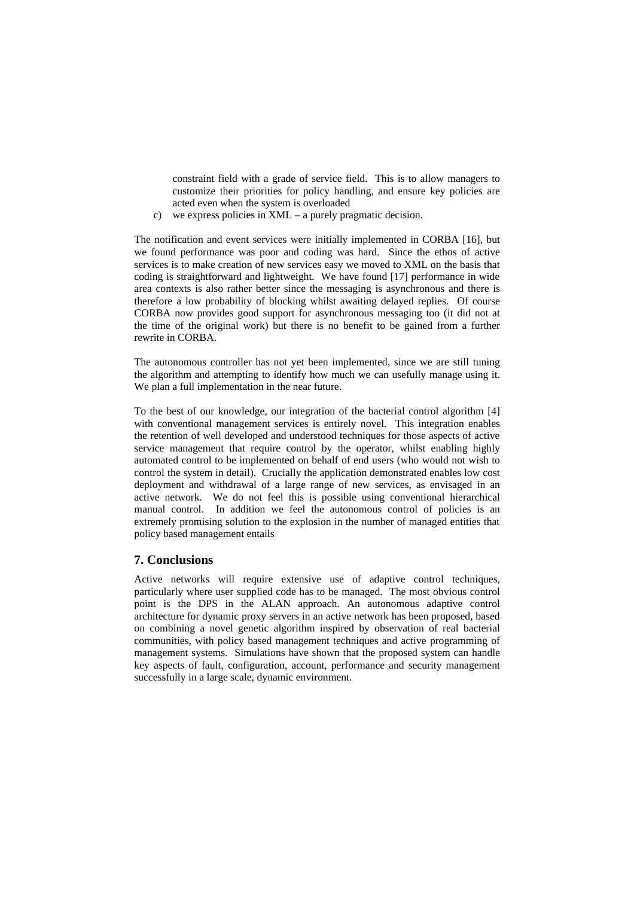constraint field with a grade of service field. This is to allow managers to customize their priorities for policy handling, and ensure key policies are acted even when the system is overloaded

c) we express policies in XML – a purely pragmatic decision.

The notification and event services were initially implemented in CORBA [16], but we found performance was poor and coding was hard. Since the ethos of active services is to make creation of new services easy we moved to XML on the basis that coding is straightforward and lightweight. We have found [17] performance in wide area contexts is also rather better since the messaging is asynchronous and there is therefore a low probability of blocking whilst awaiting delayed replies. Of course CORBA now provides good support for asynchronous messaging too (it did not at the time of the original work) but there is no benefit to be gained from a further rewrite in CORBA.

The autonomous controller has not yet been implemented, since we are still tuning the algorithm and attempting to identify how much we can usefully manage using it. We plan a full implementation in the near future.

To the best of our knowledge, our integration of the bacterial control algorithm [4] with conventional management services is entirely novel. This integration enables the retention of well developed and understood techniques for those aspects of active service management that require control by the operator, whilst enabling highly automated control to be implemented on behalf of end users (who would not wish to control the system in detail). Crucially the application demonstrated enables low cost deployment and withdrawal of a large range of new services, as envisaged in an active network. We do not feel this is possible using conventional hierarchical manual control. In addition we feel the autonomous control of policies is an extremely promising solution to the explosion in the number of managed entities that policy based management entails

## **7. Conclusions**

Active networks will require extensive use of adaptive control techniques, particularly where user supplied code has to be managed. The most obvious control point is the DPS in the ALAN approach. An autonomous adaptive control architecture for dynamic proxy servers in an active network has been proposed, based on combining a novel genetic algorithm inspired by observation of real bacterial communities, with policy based management techniques and active programming of management systems. Simulations have shown that the proposed system can handle key aspects of fault, configuration, account, performance and security management successfully in a large scale, dynamic environment.